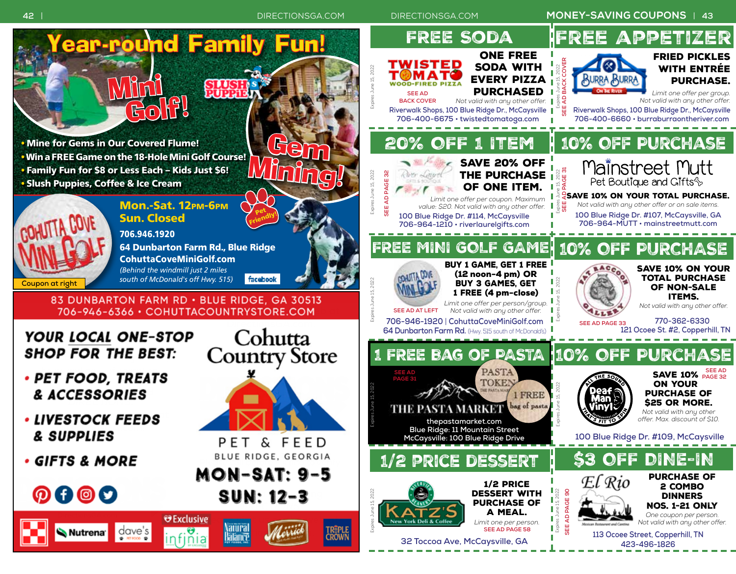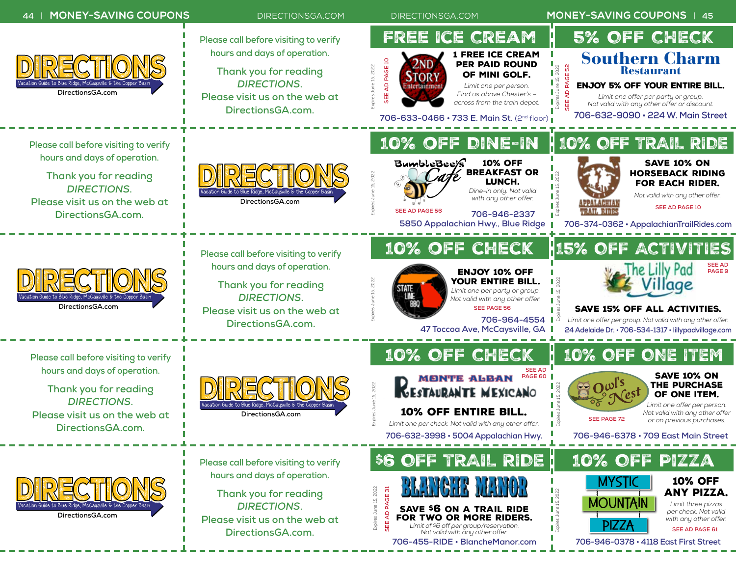## **44** | **MONEY-SAVING COUPONS** [DIRECTIONSGA.COM](http://www.directionsga.com/) [DIRECTIONSGA.COM](http://www.directionsga.com/) **MONEY-SAVING COUPONS** | **45** Free Ice Cream 5% OFF CHECK **Please call before visiting to verify hours and days of operation.** 1 Free Ice Cream Southern Charm **706-632-3998 • 706-9146-252-47 • 706-9146-252-47 • 706-9146-252-47 • 706-9147 • 706-9147 • 706-9147 • 706-9147 • 706-9147 • 706-9147 • 706-9147 • 706-9147 • 706-9147 • 706-924-4552 • 706-924-4552 • 706-924-4552 • 706-924-**[DIRECTIONS](http://www.directionsga.com/) per Paid Round **SEE AD PAGE 52** Expires June 15, 2022 Expires June 15, 2022 Restaurant **Thank you for reading** ∎ 8ੇ of Mini golf. *DIRECTIONS***.**  Enjoy 5% Off Your Entire Bill. Vacation Guide to Blue Ridge, McCaysville & the Copper Basin *Limit one per person.*  **DirectionsGA.com** *Find us above Chester's –*  **[Please visit us on the web at](http://www.directionsga.com/)**  *Limit one offer per party or group. across from the train depot. Not valid with any other offer or discount.* **[DirectionsGA.com.](http://www.directionsga.com/) 706-632-9090 • 224 W. Main Street 706-633-0466 • 733 E. Main St.** (2nd floor) 10% off Dine-In 10% OFF TRAIL RIDE **Please call before visiting to verify hours and days of operation.** 10% off Save 10% on [DIRECTIONS](http://www.directionsga.com/) Breakfast or horseback riding **Thank you for reading** Expires June 15, 2022 Expires June 15, 2022 lunch. for each Rider. l g *DIRECTIONS***.**  *Dine-in only. Not valid*  Vacation Guide to Blue Ridge, McCaysville & the Copper Basin ТĔ *Not valid with any other offer. with any other offer.* **[Please visit us on the web at](http://www.directionsga.com/)  DirectionsGA.com**  $\mathbb{R}^3$ **SEE AD PAGE 10 SEE AD PAGE 56 TRAIL RIDES [DirectionsGA.com.](http://www.directionsga.com/) 706-946-2337 . 5850 Appalachian Hwy., Blue Ridge 706-374-0362 • AppalachianTrailRides.com** 10% off check 15% OFF ACTIVITI **Please call before visiting to verify SEE AD hours and days of operation. PAGE 9** Enjoy 10% off [DIRECTIONS](http://www.directionsga.com/) Expires June 15, 2022 your entire bill. Expires June 15, 2022 ¶ ≳ **Thank you for reading** aae *Limit one per party or group.* ∎ம *DIRECTIONS***.**  Vacation Guide to Blue Ridge, McCaysville & the Copper Basin *Not valid with any other offer.* ٠ **DirectionsGA.com SEE PAGE 56**Save 15% off all activities. **[Please visit us on the web at](http://www.directionsga.com/)  706-964-4554** *Limit one offer per group. Not valid with any other offer.* **[DirectionsGA.com.](http://www.directionsga.com/) 47 Toccoa Ave, McCaysville, GA 24 Adelaide Dr. • 706-534-1317 • lillypadvillage.com** 10% OFF CHECK 10% OFF ONE ITEM **Please call before visiting to verify hours and days of operation. SEE AD**  Save 10% on **PAGE 60**  $\mathbf{Q}$   $\mathbf{Q}$   $\mathbf{w}$ <sup>rs</sup> [DIRECTIONS](http://www.directionsga.com/) the Purchase Expires June 15, 2022 Expires June 15, 2022 **Thank you for reading** of One Item. *DIRECTIONS***.**  *Limit one offer per person.*  Vacation Guide to Blue Ridge, McCaysville & the Copper Basin 10% Off Entire Bill. *Not valid with any other offer*  **[Please visit us on the web at](http://www.directionsga.com/)  DirectionsGA.com SEE PAGE 72** *or on previous purchases. Limit one per check. Not valid with any other offer.*  $\mathbb{R}^8$ **[DirectionsGA.com.](http://www.directionsga.com/) 706-946-6378 • 709 East Main Street**

\$6 OFF TRAIL RIDE

Save \$6 on a Trail Ride for Two or More Riders. *Limit of \$6 off per group/reservation. Not valid with any other offer.* **706-455-RIDE • BlancheManor.com**

**SEE AD PAGE 31** Expires June 15, 2022

10% OFF Pizza

MOUNTAIN

Expires June 15, 2022

 $\frac{1}{5}$  $\mathbb{R}$  $\mathbb{R}$ ПŘ Mystic

PIZZA

10% Off any pizza. *Limit three pizzas per check. Not valid with any other offer.*

**SEE AD PAGE 61**

**706-946-0378 • 4118 East First Street**



**Please call before visiting to verify hours and days of operation.**

**Thank you for reading** *DIRECTIONS***. [Please visit us on the web at](http://www.directionsga.com/)  [DirectionsGA.com.](http://www.directionsga.com/)**